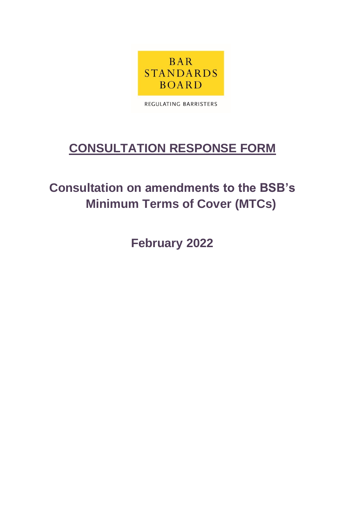

REGULATING BARRISTERS

## **CONSULTATION RESPONSE FORM**

## **Consultation on amendments to the BSB's Minimum Terms of Cover (MTCs)**

**February 2022**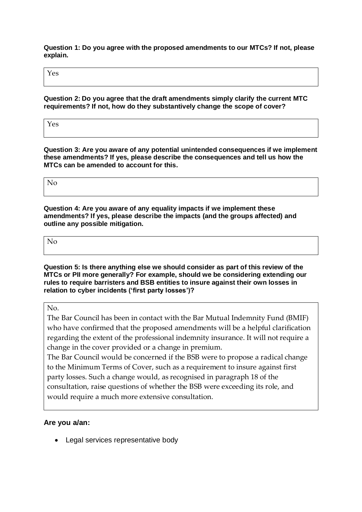**Question 1: Do you agree with the proposed amendments to our MTCs? If not, please explain.** 

Yes

**Question 2: Do you agree that the draft amendments simply clarify the current MTC requirements? If not, how do they substantively change the scope of cover?**

Yes

**Question 3: Are you aware of any potential unintended consequences if we implement these amendments? If yes, please describe the consequences and tell us how the MTCs can be amended to account for this.**

No

**Question 4: Are you aware of any equality impacts if we implement these amendments? If yes, please describe the impacts (and the groups affected) and outline any possible mitigation.**

| $\sim$ $\sim$<br>$\mathbf{A}$ |  |  |
|-------------------------------|--|--|
|                               |  |  |

**Question 5: Is there anything else we should consider as part of this review of the MTCs or PII more generally? For example, should we be considering extending our rules to require barristers and BSB entities to insure against their own losses in relation to cyber incidents ('first party losses')?** 

No.

The Bar Council has been in contact with the Bar Mutual Indemnity Fund (BMIF) who have confirmed that the proposed amendments will be a helpful clarification regarding the extent of the professional indemnity insurance. It will not require a change in the cover provided or a change in premium.

The Bar Council would be concerned if the BSB were to propose a radical change to the Minimum Terms of Cover, such as a requirement to insure against first party losses. Such a change would, as recognised in paragraph 18 of the consultation, raise questions of whether the BSB were exceeding its role, and would require a much more extensive consultation.

## **Are you a/an:**

• Legal services representative body